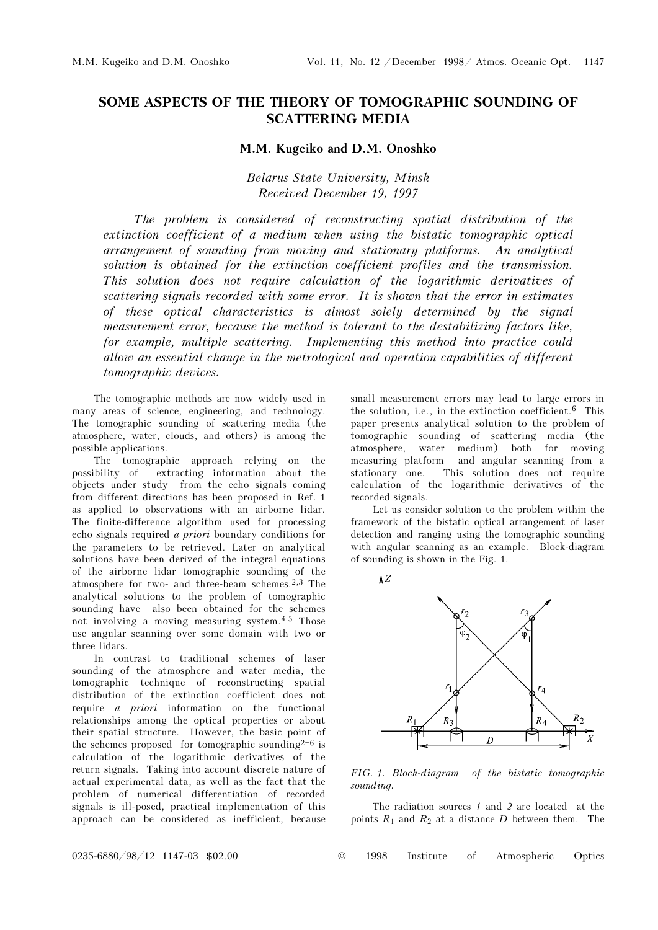## SOME ASPECTS OF THE THEORY OF TOMOGRAPHIC SOUNDING OF SCATTERING MEDIA

## M.M. Kugeiko and D.M. Onoshko

Belarus State University, Minsk Received December 19, 1997

The problem is considered of reconstructing spatial distribution of the extinction coefficient of a medium when using the bistatic tomographic optical arrangement of sounding from moving and stationary platforms. An analytical solution is obtained for the extinction coefficient profiles and the transmission. This solution does not require calculation of the logarithmic derivatives of scattering signals recorded with some error. It is shown that the error in estimates of these optical characteristics is almost solely determined by the signal measurement error, because the method is tolerant to the destabilizing factors like, for example, multiple scattering. Implementing this method into practice could allow an essential change in the metrological and operation capabilities of different tomographic devices.

The tomographic methods are now widely used in many areas of science, engineering, and technology. The tomographic sounding of scattering media (the atmosphere, water, clouds, and others) is among the possible applications.

The tomographic approach relying on the possibility of extracting information about the objects under study from the echo signals coming from different directions has been proposed in Ref. 1 as applied to observations with an airborne lidar. The finite-difference algorithm used for processing echo signals required a priori boundary conditions for the parameters to be retrieved. Later on analytical solutions have been derived of the integral equations of the airborne lidar tomographic sounding of the atmosphere for two- and three-beam schemes.2,3 The analytical solutions to the problem of tomographic sounding have also been obtained for the schemes not involving a moving measuring system.4,5 Those use angular scanning over some domain with two or three lidars.

In contrast to traditional schemes of laser sounding of the atmosphere and water media, the tomographic technique of reconstructing spatial distribution of the extinction coefficient does not require a priori information on the functional relationships among the optical properties or about their spatial structure. However, the basic point of the schemes proposed for tomographic sounding $2^{-6}$  is calculation of the logarithmic derivatives of the return signals. Taking into account discrete nature of actual experimental data, as well as the fact that the problem of numerical differentiation of recorded signals is ill-posed, practical implementation of this approach can be considered as inefficient, because

small measurement errors may lead to large errors in the solution, i.e., in the extinction coefficient.6 This paper presents analytical solution to the problem of tomographic sounding of scattering media (the atmosphere, water medium) both for moving measuring platform and angular scanning from a stationary one. This solution does not require calculation of the logarithmic derivatives of the recorded signals.

Let us consider solution to the problem within the framework of the bistatic optical arrangement of laser detection and ranging using the tomographic sounding with angular scanning as an example. Block-diagram of sounding is shown in the Fig. 1.



FIG. 1. Block-diagram of the bistatic tomographic sounding.

The radiation sources  $1$  and  $2$  are located at the points  $R_1$  and  $R_2$  at a distance D between them. The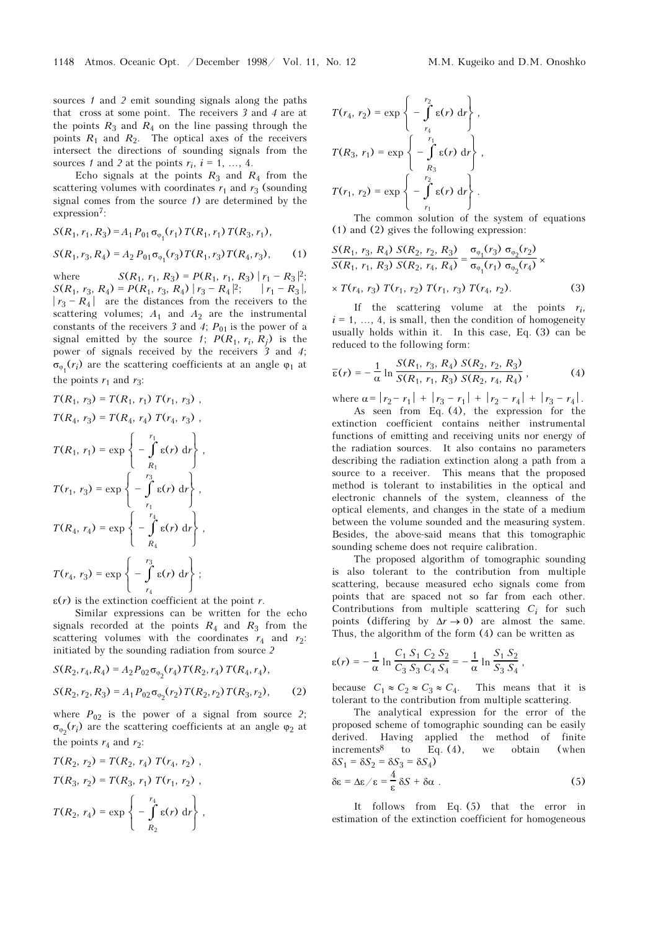sources 1 and 2 emit sounding signals along the paths that cross at some point. The receivers 3 and 4 are at the points  $R_3$  and  $R_4$  on the line passing through the points  $R_1$  and  $R_2$ . The optical axes of the receivers intersect the directions of sounding signals from the sources 1 and 2 at the points  $r_i$ ,  $i = 1, ..., 4$ .

Echo signals at the points  $R_3$  and  $R_4$  from the scattering volumes with coordinates  $r_1$  and  $r_3$  (sounding signal comes from the source  $\ell$ ) are determined by the expression<sup>7</sup>:

$$
S(R_1, r_1, R_3) = A_1 P_{01} \sigma_{\varphi_1}(r_1) T(R_1, r_1) T(R_3, r_1),
$$
  
\n
$$
S(R_1, r_3, R_4) = A_2 P_{01} \sigma_{\varphi_1}(r_3) T(R_1, r_3) T(R_4, r_3),
$$
 (1)

where  $S(R_1, r_1, R_3) = P(R_1, r_1, R_3) |r_1 - R_3|^2;$  $S(R_1, r_3, R_4) = P(R_1, r_3, R_4) |r_3 - R_4|^2;$  $|r_1 - R_3|,$  $|r_3 - R_4|$  are the distances from the receivers to the scattering volumes;  $A_1$  and  $A_2$  are the instrumental constants of the receivers 3 and 4;  $P_{01}$  is the power of a signal emitted by the source 1;  $P(R_1, r_i, R_i)$  is the power of signals received by the receivers 3 and 4;  $\sigma_{\varphi_1}(r_i)$  are the scattering coefficients at an angle  $\varphi_1$  at the points  $r_1$  and  $r_3$ :

$$
T(R_1, r_3) = T(R_1, r_1) T(r_1, r_3),
$$
  
\n
$$
T(R_4, r_3) = T(R_4, r_4) T(r_4, r_3),
$$
  
\n
$$
T(R_1, r_1) = \exp\left\{-\int_{R_1}^{r_1} \varepsilon(r) dr\right\},
$$
  
\n
$$
T(r_1, r_3) = \exp\left\{-\int_{r_1}^{r_3} \varepsilon(r) dr\right\},
$$
  
\n
$$
T(R_4, r_4) = \exp\left\{-\int_{R_4}^{r_4} \varepsilon(r) dr\right\},
$$
  
\n
$$
T(r_4, r_3) = \exp\left\{-\int_{r_4}^{r_3} \varepsilon(r) dr\right\},
$$

 $\varepsilon(r)$  is the extinction coefficient at the point r.

Similar expressions can be written for the echo signals recorded at the points  $R_4$  and  $R_3$  from the scattering volumes with the coordinates  $r_4$  and  $r_2$ : initiated by the sounding radiation from source 2

$$
S(R_2, r_4, R_4) = A_2 P_{02} \sigma_{\varphi_2}(r_4) T(R_2, r_4) T(R_4, r_4),
$$
  

$$
S(R_2, r_2, R_3) = A_1 P_{02} \sigma_{\varphi_2}(r_2) T(R_2, r_2) T(R_3, r_2),
$$
 (2)

where  $P_{02}$  is the power of a signal from source 2;  $\sigma_{\varphi_2}(r_i)$  are the scattering coefficients at an angle  $\varphi_2$  at the points  $r_4$  and  $r_2$ :

$$
T(R_2, r_2) = T(R_2, r_4) T(r_4, r_2),
$$
  
\n
$$
T(R_3, r_2) = T(R_3, r_1) T(r_1, r_2),
$$
  
\n
$$
T(R_2, r_4) = \exp \left\{ -\int_{R_2}^{r_4} \varepsilon(r) dr \right\},
$$

$$
T(r_4, r_2) = \exp\left\{-\int_{r_4}^{r_2} \varepsilon(r) dr\right\},\
$$

$$
T(R_3, r_1) = \exp\left\{-\int_{R_3}^{r_1} \varepsilon(r) dr\right\},\
$$

$$
T(r_1, r_2) = \exp\left\{-\int_{r_1}^{r_2} \varepsilon(r) dr\right\}.
$$

The common solution of the system of equations (1) and (2) gives the following expression:

$$
\frac{S(R_1, r_3, R_4) S(R_2, r_2, R_3)}{S(R_1, r_1, R_3) S(R_2, r_4, R_4)} = \frac{\sigma_{\varphi_1}(r_3) \sigma_{\varphi_2}(r_2)}{\sigma_{\varphi_1}(r_1) \sigma_{\varphi_2}(r_4)} \times
$$

$$
\times T(r_4, r_3) T(r_1, r_2) T(r_1, r_3) T(r_4, r_2). \tag{3}
$$

If the scattering volume at the points  $r_i$ ,  $i = 1, \ldots, 4$ , is small, then the condition of homogeneity usually holds within it. In this case, Eq. (3) can be reduced to the following form:

$$
\overline{\epsilon}(r) = -\frac{1}{\alpha} \ln \frac{S(R_1, r_3, R_4) S(R_2, r_2, R_3)}{S(R_1, r_1, R_3) S(R_2, r_4, R_4)},
$$
(4)

where  $\alpha = |r_2 - r_1| + |r_3 - r_1| + |r_2 - r_4| + |r_3 - r_4|$ . As seen from Eq. (4), the expression for the

extinction coefficient contains neither instrumental functions of emitting and receiving units nor energy of the radiation sources. It also contains no parameters describing the radiation extinction along a path from a source to a receiver. This means that the proposed method is tolerant to instabilities in the optical and electronic channels of the system, cleanness of the optical elements, and changes in the state of a medium between the volume sounded and the measuring system. Besides, the above-said means that this tomographic sounding scheme does not require calibration.

The proposed algorithm of tomographic sounding is also tolerant to the contribution from multiple scattering, because measured echo signals come from points that are spaced not so far from each other. Contributions from multiple scattering  $C_i$  for such points (differing by  $\Delta r \rightarrow 0$ ) are almost the same. Thus, the algorithm of the form (4) can be written as

$$
\varepsilon(r) = -\frac{1}{\alpha} \ln \frac{C_1 S_1 C_2 S_2}{C_3 S_3 C_4 S_4} = -\frac{1}{\alpha} \ln \frac{S_1 S_2}{S_3 S_4},
$$

because  $C_1 \approx C_2 \approx C_3 \approx C_4$ . This means that it is tolerant to the contribution from multiple scattering.

The analytical expression for the error of the proposed scheme of tomographic sounding can be easily derived. Having applied the method of finite increments<sup>8</sup> to Eq.  $(4)$ , we obtain (when  $\delta S_1 = \delta S_2 = \delta S_3 = \delta S_4$ 

$$
\delta \varepsilon = \Delta \varepsilon / \varepsilon = \frac{4}{\varepsilon} \delta S + \delta \alpha \ . \tag{5}
$$

It follows from Eq. (5) that the error in estimation of the extinction coefficient for homogeneous